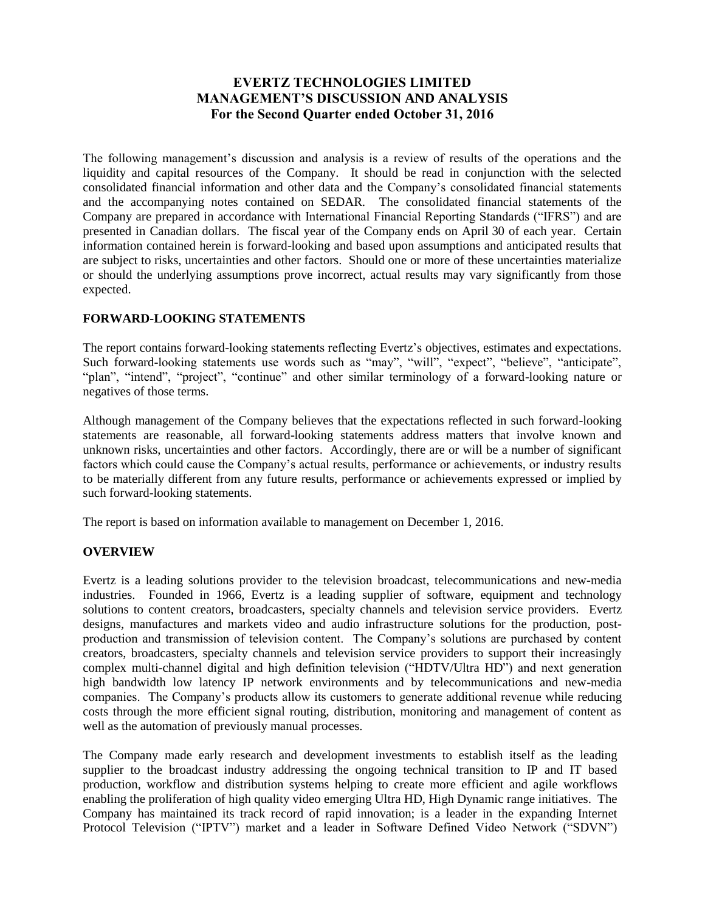# **EVERTZ TECHNOLOGIES LIMITED MANAGEMENT'S DISCUSSION AND ANALYSIS For the Second Quarter ended October 31, 2016**

The following management's discussion and analysis is a review of results of the operations and the liquidity and capital resources of the Company. It should be read in conjunction with the selected consolidated financial information and other data and the Company's consolidated financial statements and the accompanying notes contained on SEDAR. The consolidated financial statements of the Company are prepared in accordance with International Financial Reporting Standards ("IFRS") and are presented in Canadian dollars. The fiscal year of the Company ends on April 30 of each year. Certain information contained herein is forward-looking and based upon assumptions and anticipated results that are subject to risks, uncertainties and other factors. Should one or more of these uncertainties materialize or should the underlying assumptions prove incorrect, actual results may vary significantly from those expected.

### **FORWARD-LOOKING STATEMENTS**

The report contains forward-looking statements reflecting Evertz's objectives, estimates and expectations. Such forward-looking statements use words such as "may", "will", "expect", "believe", "anticipate", "plan", "intend", "project", "continue" and other similar terminology of a forward-looking nature or negatives of those terms.

Although management of the Company believes that the expectations reflected in such forward-looking statements are reasonable, all forward-looking statements address matters that involve known and unknown risks, uncertainties and other factors. Accordingly, there are or will be a number of significant factors which could cause the Company's actual results, performance or achievements, or industry results to be materially different from any future results, performance or achievements expressed or implied by such forward-looking statements.

The report is based on information available to management on December 1, 2016.

### **OVERVIEW**

Evertz is a leading solutions provider to the television broadcast, telecommunications and new-media industries. Founded in 1966, Evertz is a leading supplier of software, equipment and technology solutions to content creators, broadcasters, specialty channels and television service providers. Evertz designs, manufactures and markets video and audio infrastructure solutions for the production, postproduction and transmission of television content. The Company's solutions are purchased by content creators, broadcasters, specialty channels and television service providers to support their increasingly complex multi-channel digital and high definition television ("HDTV/Ultra HD") and next generation high bandwidth low latency IP network environments and by telecommunications and new-media companies. The Company's products allow its customers to generate additional revenue while reducing costs through the more efficient signal routing, distribution, monitoring and management of content as well as the automation of previously manual processes.

The Company made early research and development investments to establish itself as the leading supplier to the broadcast industry addressing the ongoing technical transition to IP and IT based production, workflow and distribution systems helping to create more efficient and agile workflows enabling the proliferation of high quality video emerging Ultra HD, High Dynamic range initiatives. The Company has maintained its track record of rapid innovation; is a leader in the expanding Internet Protocol Television ("IPTV") market and a leader in Software Defined Video Network ("SDVN")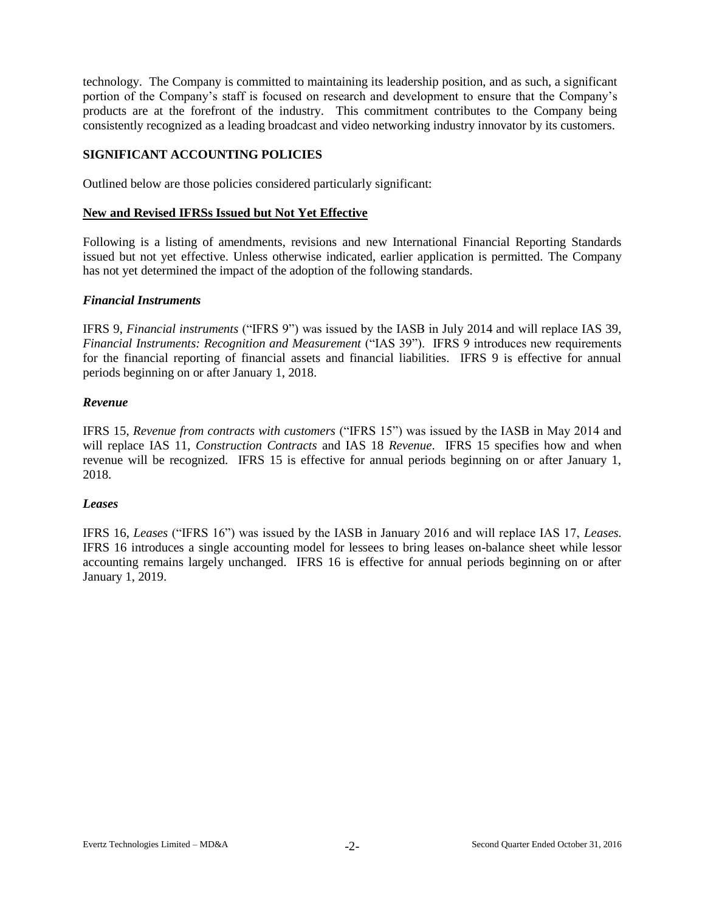technology. The Company is committed to maintaining its leadership position, and as such, a significant portion of the Company's staff is focused on research and development to ensure that the Company's products are at the forefront of the industry. This commitment contributes to the Company being consistently recognized as a leading broadcast and video networking industry innovator by its customers.

### **SIGNIFICANT ACCOUNTING POLICIES**

Outlined below are those policies considered particularly significant:

#### **New and Revised IFRSs Issued but Not Yet Effective**

Following is a listing of amendments, revisions and new International Financial Reporting Standards issued but not yet effective. Unless otherwise indicated, earlier application is permitted. The Company has not yet determined the impact of the adoption of the following standards.

### *Financial Instruments*

IFRS 9, *Financial instruments* ("IFRS 9") was issued by the IASB in July 2014 and will replace IAS 39, *Financial Instruments: Recognition and Measurement* ("IAS 39"). IFRS 9 introduces new requirements for the financial reporting of financial assets and financial liabilities. IFRS 9 is effective for annual periods beginning on or after January 1, 2018.

### *Revenue*

IFRS 15, *Revenue from contracts with customers* ("IFRS 15") was issued by the IASB in May 2014 and will replace IAS 11, *Construction Contracts* and IAS 18 *Revenue*. IFRS 15 specifies how and when revenue will be recognized. IFRS 15 is effective for annual periods beginning on or after January 1, 2018.

#### *Leases*

IFRS 16, *Leases* ("IFRS 16") was issued by the IASB in January 2016 and will replace IAS 17, *Leases.* IFRS 16 introduces a single accounting model for lessees to bring leases on-balance sheet while lessor accounting remains largely unchanged. IFRS 16 is effective for annual periods beginning on or after January 1, 2019.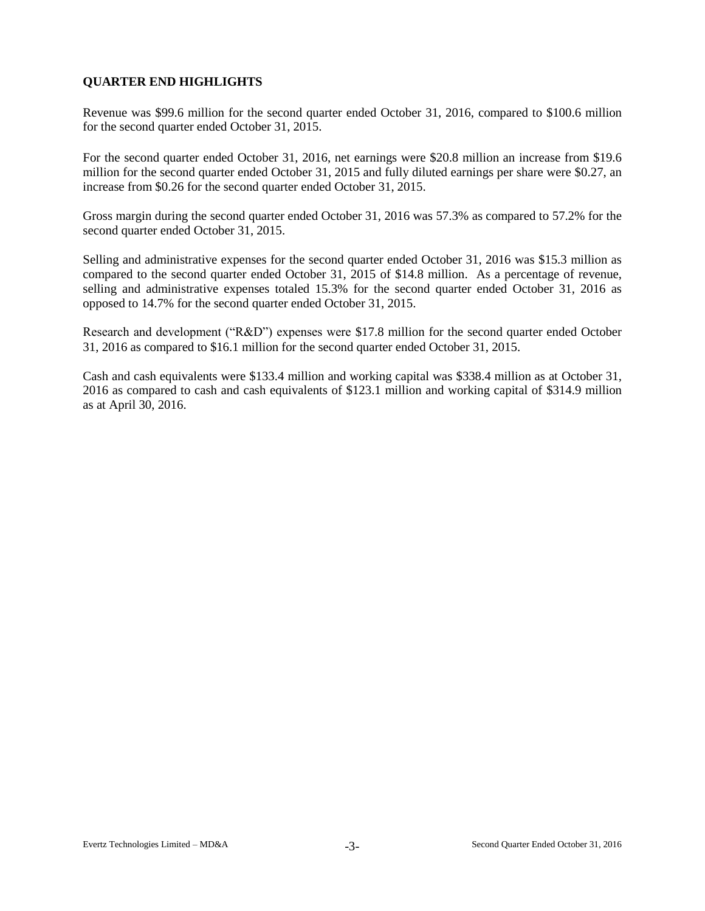# **QUARTER END HIGHLIGHTS**

Revenue was \$99.6 million for the second quarter ended October 31, 2016, compared to \$100.6 million for the second quarter ended October 31, 2015.

For the second quarter ended October 31, 2016, net earnings were \$20.8 million an increase from \$19.6 million for the second quarter ended October 31, 2015 and fully diluted earnings per share were \$0.27, an increase from \$0.26 for the second quarter ended October 31, 2015.

Gross margin during the second quarter ended October 31, 2016 was 57.3% as compared to 57.2% for the second quarter ended October 31, 2015.

Selling and administrative expenses for the second quarter ended October 31, 2016 was \$15.3 million as compared to the second quarter ended October 31, 2015 of \$14.8 million. As a percentage of revenue, selling and administrative expenses totaled 15.3% for the second quarter ended October 31, 2016 as opposed to 14.7% for the second quarter ended October 31, 2015.

Research and development ("R&D") expenses were \$17.8 million for the second quarter ended October 31, 2016 as compared to \$16.1 million for the second quarter ended October 31, 2015.

Cash and cash equivalents were \$133.4 million and working capital was \$338.4 million as at October 31, 2016 as compared to cash and cash equivalents of \$123.1 million and working capital of \$314.9 million as at April 30, 2016.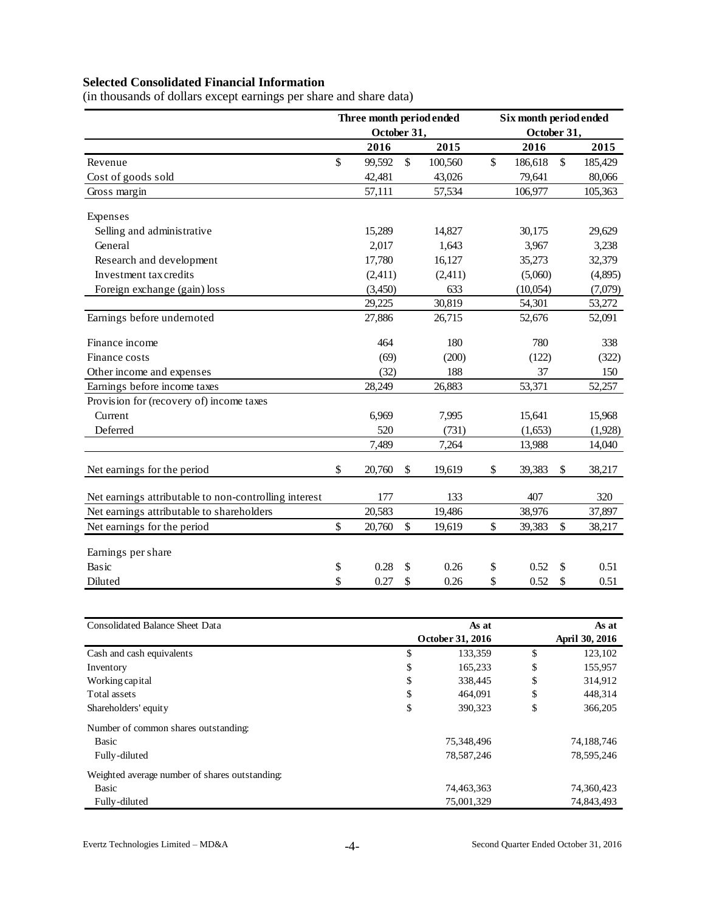# **Selected Consolidated Financial Information**

|  | (in thousands of dollars except earnings per share and share data) |  |  |  |  |  |
|--|--------------------------------------------------------------------|--|--|--|--|--|

|                                                       |               | Three month period ended |               |         |              | Six month period ended |               |
|-------------------------------------------------------|---------------|--------------------------|---------------|---------|--------------|------------------------|---------------|
|                                                       |               | October 31,              |               |         |              | October 31,            |               |
|                                                       |               | 2016                     |               | 2015    |              | 2016                   | 2015          |
| Revenue                                               | \$            | 99,592                   | $\mathbb{S}$  | 100,560 | $\mathbb{S}$ | 186,618                | \$<br>185,429 |
| Cost of goods sold                                    |               | 42,481                   |               | 43,026  |              | 79,641                 | 80,066        |
| Gross margin                                          |               | 57,111                   |               | 57,534  |              | 106,977                | 105,363       |
| Expenses                                              |               |                          |               |         |              |                        |               |
| Selling and administrative                            |               | 15,289                   |               | 14,827  |              | 30,175                 | 29,629        |
| General                                               |               | 2,017                    |               | 1,643   |              | 3,967                  | 3,238         |
| Research and development                              |               | 17,780                   |               | 16,127  |              | 35,273                 | 32,379        |
| Investment tax credits                                |               | (2,411)                  |               | (2,411) |              | (5,060)                | (4,895)       |
| Foreign exchange (gain) loss                          |               | (3,450)                  |               | 633     |              | (10,054)               | (7,079)       |
|                                                       |               | 29,225                   |               | 30,819  |              | 54,301                 | 53,272        |
| Earnings before undernoted                            |               | 27,886                   |               | 26,715  |              | 52,676                 | 52,091        |
| Finance income                                        |               | 464                      |               | 180     |              | 780                    | 338           |
| Finance costs                                         |               | (69)                     |               | (200)   |              | (122)                  | (322)         |
| Other income and expenses                             |               | (32)                     |               | 188     |              | 37                     | 150           |
| Earnings before income taxes                          |               | 28,249                   |               | 26,883  |              | 53,371                 | 52,257        |
| Provision for (recovery of) income taxes              |               |                          |               |         |              |                        |               |
| Current                                               |               | 6,969                    |               | 7,995   |              | 15,641                 | 15,968        |
| Deferred                                              |               | 520                      |               | (731)   |              | (1,653)                | (1,928)       |
|                                                       |               | 7,489                    |               | 7,264   |              | 13,988                 | 14,040        |
| Net earnings for the period                           | \$            | 20,760                   | $\mathbb{S}$  | 19,619  | \$           | 39,383                 | \$<br>38,217  |
| Net earnings attributable to non-controlling interest |               | 177                      |               | 133     |              | 407                    | 320           |
| Net earnings attributable to shareholders             |               | 20,583                   |               | 19,486  |              | 38,976                 | 37,897        |
| Net earnings for the period                           | $\mathsf{\$}$ | 20,760                   | $\mathsf{\$}$ | 19,619  | $\mathbb{S}$ | 39,383                 | \$<br>38,217  |
| Earnings per share                                    |               |                          |               |         |              |                        |               |
| Basic                                                 | \$            | 0.28                     | \$            | 0.26    | \$           | 0.52                   | \$<br>0.51    |
| Diluted                                               | \$            | 0.27                     | \$            | 0.26    | \$           | 0.52                   | \$<br>0.51    |

| <b>Consolidated Balance Sheet Data</b>         | As at            | As at          |
|------------------------------------------------|------------------|----------------|
|                                                | October 31, 2016 | April 30, 2016 |
| Cash and cash equivalents                      | \$<br>133,359    | \$<br>123,102  |
| Inventory                                      | \$<br>165,233    | \$<br>155,957  |
| Working capital                                | \$<br>338,445    | \$<br>314,912  |
| Total assets                                   | \$<br>464,091    | \$<br>448,314  |
| Shareholders' equity                           | \$<br>390.323    | \$<br>366,205  |
| Number of common shares outstanding:           |                  |                |
| Basic                                          | 75,348,496       | 74,188,746     |
| Fully-diluted                                  | 78,587,246       | 78,595,246     |
| Weighted average number of shares outstanding: |                  |                |
| Basic                                          | 74,463,363       | 74,360,423     |
| Fully-diluted                                  | 75,001,329       | 74,843,493     |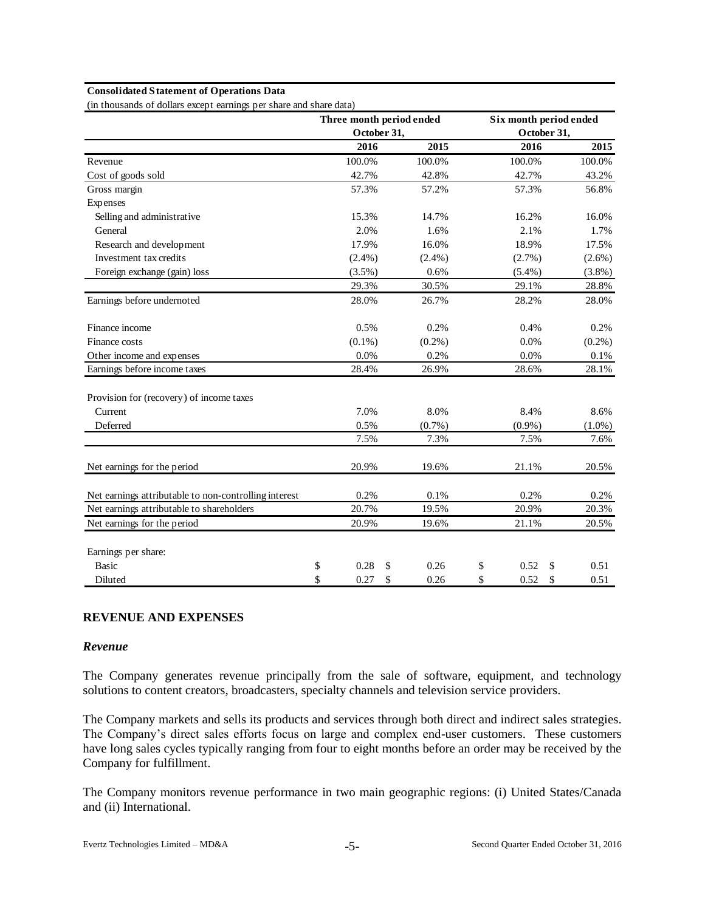#### **Consolidated Statement of Operations Data**

(in thousands of dollars except earnings per share and share data)

|                                                       |             |    | Three month period ended | Six month period ended |            |
|-------------------------------------------------------|-------------|----|--------------------------|------------------------|------------|
|                                                       | October 31, |    |                          | October 31,            |            |
|                                                       | 2016        |    | 2015                     | 2016                   | 2015       |
| Revenue                                               | 100.0%      |    | 100.0%                   | 100.0%                 | 100.0%     |
| Cost of goods sold                                    | 42.7%       |    | 42.8%                    | 42.7%                  | 43.2%      |
| Gross margin                                          | 57.3%       |    | 57.2%                    | 57.3%                  | 56.8%      |
| Expenses                                              |             |    |                          |                        |            |
| Selling and administrative                            | 15.3%       |    | 14.7%                    | 16.2%                  | 16.0%      |
| General                                               | 2.0%        |    | 1.6%                     | 2.1%                   | 1.7%       |
| Research and development                              | 17.9%       |    | 16.0%                    | 18.9%                  | 17.5%      |
| Investment tax credits                                | $(2.4\%)$   |    | $(2.4\%)$                | (2.7%)                 | $(2.6\%)$  |
| Foreign exchange (gain) loss                          | $(3.5\%)$   |    | 0.6%                     | $(5.4\%)$              | $(3.8\%)$  |
|                                                       | 29.3%       |    | 30.5%                    | 29.1%                  | 28.8%      |
| Earnings before undernoted                            | 28.0%       |    | 26.7%                    | 28.2%                  | 28.0%      |
| Finance income                                        | 0.5%        |    | 0.2%                     | 0.4%                   | 0.2%       |
| Finance costs                                         | $(0.1\%)$   |    | $(0.2\%)$                | $0.0\%$                | $(0.2\%)$  |
| Other income and expenses                             | 0.0%        |    | 0.2%                     | 0.0%                   | 0.1%       |
| Earnings before income taxes                          | 28.4%       |    | 26.9%                    | 28.6%                  | 28.1%      |
| Provision for (recovery) of income taxes              |             |    |                          |                        |            |
| Current                                               | 7.0%        |    | 8.0%                     | 8.4%                   | 8.6%       |
| Deferred                                              | 0.5%        |    | $(0.7\%)$                | $(0.9\%)$              | $(1.0\%)$  |
|                                                       | 7.5%        |    | 7.3%                     | 7.5%                   | 7.6%       |
| Net earnings for the period                           | 20.9%       |    | 19.6%                    | 21.1%                  | 20.5%      |
| Net earnings attributable to non-controlling interest | 0.2%        |    | 0.1%                     | 0.2%                   | 0.2%       |
| Net earnings attributable to shareholders             | 20.7%       |    | 19.5%                    | 20.9%                  | 20.3%      |
| Net earnings for the period                           | 20.9%       |    | 19.6%                    | 21.1%                  | 20.5%      |
| Earnings per share:                                   |             |    |                          |                        |            |
| <b>Basic</b>                                          | \$<br>0.28  | S  | 0.26                     | \$<br>0.52             | \$<br>0.51 |
| Diluted                                               | \$<br>0.27  | \$ | 0.26                     | \$<br>0.52             | \$<br>0.51 |

#### **REVENUE AND EXPENSES**

#### *Revenue*

The Company generates revenue principally from the sale of software, equipment, and technology solutions to content creators, broadcasters, specialty channels and television service providers.

The Company markets and sells its products and services through both direct and indirect sales strategies. The Company's direct sales efforts focus on large and complex end-user customers. These customers have long sales cycles typically ranging from four to eight months before an order may be received by the Company for fulfillment.

The Company monitors revenue performance in two main geographic regions: (i) United States/Canada and (ii) International.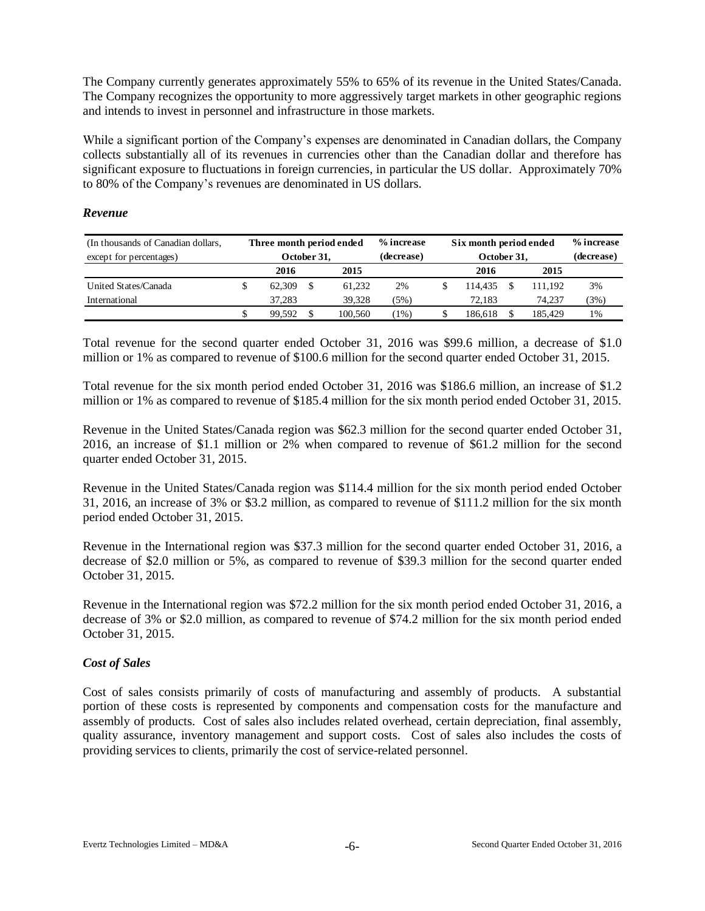The Company currently generates approximately 55% to 65% of its revenue in the United States/Canada. The Company recognizes the opportunity to more aggressively target markets in other geographic regions and intends to invest in personnel and infrastructure in those markets.

While a significant portion of the Company's expenses are denominated in Canadian dollars, the Company collects substantially all of its revenues in currencies other than the Canadian dollar and therefore has significant exposure to fluctuations in foreign currencies, in particular the US dollar. Approximately 70% to 80% of the Company's revenues are denominated in US dollars.

### *Revenue*

| (In thousands of Canadian dollars, |   | Three month period ended |             |         | % increase |  |             |  |         | Six month period ended |  |  | % increase |
|------------------------------------|---|--------------------------|-------------|---------|------------|--|-------------|--|---------|------------------------|--|--|------------|
| except for percentages)            |   |                          | October 31. |         | (decrease) |  | October 31, |  |         | (decrease)             |  |  |            |
|                                    |   | 2016                     |             | 2015    |            |  | 2016        |  | 2015    |                        |  |  |            |
| United States/Canada               | J | 62,309                   |             | 61.232  | 2%         |  | 114.435     |  | 111.192 | 3%                     |  |  |            |
| International                      |   | 37.283                   |             | 39.328  | (5%)       |  | 72.183      |  | 74.237  | (3%)                   |  |  |            |
|                                    | S | 99.592                   |             | 100.560 | $(1\%)$    |  | 186.618     |  | 185.429 | 1%                     |  |  |            |

Total revenue for the second quarter ended October 31, 2016 was \$99.6 million, a decrease of \$1.0 million or 1% as compared to revenue of \$100.6 million for the second quarter ended October 31, 2015.

Total revenue for the six month period ended October 31, 2016 was \$186.6 million, an increase of \$1.2 million or 1% as compared to revenue of \$185.4 million for the six month period ended October 31, 2015.

Revenue in the United States/Canada region was \$62.3 million for the second quarter ended October 31, 2016, an increase of \$1.1 million or 2% when compared to revenue of \$61.2 million for the second quarter ended October 31, 2015.

Revenue in the United States/Canada region was \$114.4 million for the six month period ended October 31, 2016, an increase of 3% or \$3.2 million, as compared to revenue of \$111.2 million for the six month period ended October 31, 2015.

Revenue in the International region was \$37.3 million for the second quarter ended October 31, 2016, a decrease of \$2.0 million or 5%, as compared to revenue of \$39.3 million for the second quarter ended October 31, 2015.

Revenue in the International region was \$72.2 million for the six month period ended October 31, 2016, a decrease of 3% or \$2.0 million, as compared to revenue of \$74.2 million for the six month period ended October 31, 2015.

### *Cost of Sales*

Cost of sales consists primarily of costs of manufacturing and assembly of products. A substantial portion of these costs is represented by components and compensation costs for the manufacture and assembly of products. Cost of sales also includes related overhead, certain depreciation, final assembly, quality assurance, inventory management and support costs. Cost of sales also includes the costs of providing services to clients, primarily the cost of service-related personnel.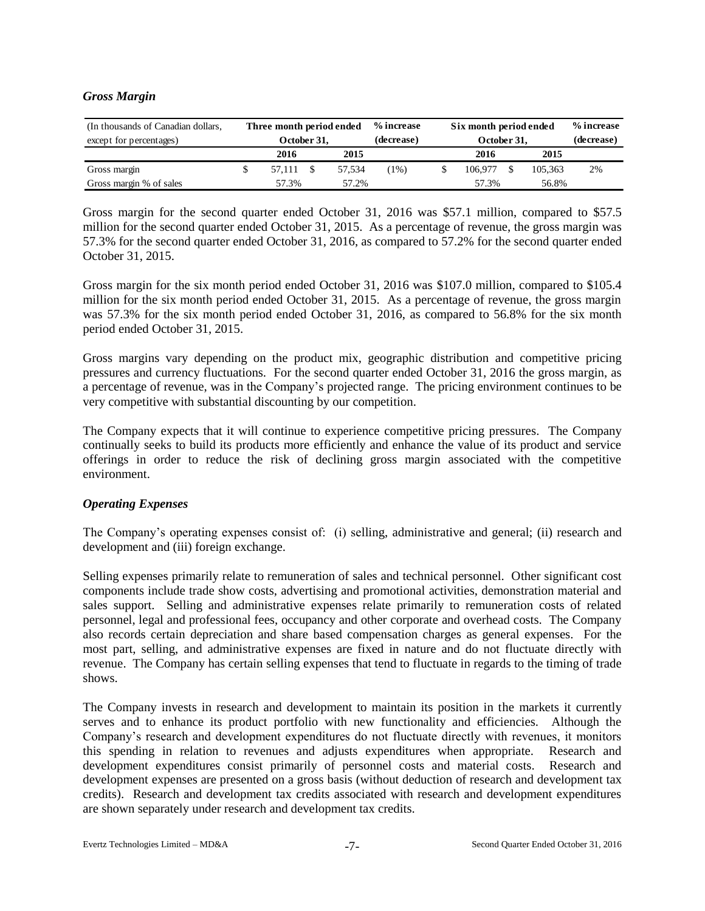### *Gross Margin*

| (In thousands of Canadian dollars, | Three month period ended |        | % increase | Six month period ended |  |         | % increase |
|------------------------------------|--------------------------|--------|------------|------------------------|--|---------|------------|
| except for percentages)            | October 31.              |        | (decrease) | October 31.            |  |         | (decrease) |
|                                    | 2016                     | 2015   |            | 2016                   |  | 2015    |            |
| Gross margin                       | 57.111                   | 57.534 | $1\%)$     | 106.977                |  | 105.363 | 2%         |
| Gross margin % of sales            | 57.3%                    | 57.2%  |            | 57.3%                  |  | 56.8%   |            |

Gross margin for the second quarter ended October 31, 2016 was \$57.1 million, compared to \$57.5 million for the second quarter ended October 31, 2015. As a percentage of revenue, the gross margin was 57.3% for the second quarter ended October 31, 2016, as compared to 57.2% for the second quarter ended October 31, 2015.

Gross margin for the six month period ended October 31, 2016 was \$107.0 million, compared to \$105.4 million for the six month period ended October 31, 2015. As a percentage of revenue, the gross margin was 57.3% for the six month period ended October 31, 2016, as compared to 56.8% for the six month period ended October 31, 2015.

Gross margins vary depending on the product mix, geographic distribution and competitive pricing pressures and currency fluctuations. For the second quarter ended October 31, 2016 the gross margin, as a percentage of revenue, was in the Company's projected range. The pricing environment continues to be very competitive with substantial discounting by our competition.

The Company expects that it will continue to experience competitive pricing pressures. The Company continually seeks to build its products more efficiently and enhance the value of its product and service offerings in order to reduce the risk of declining gross margin associated with the competitive environment.

### *Operating Expenses*

The Company's operating expenses consist of: (i) selling, administrative and general; (ii) research and development and (iii) foreign exchange.

Selling expenses primarily relate to remuneration of sales and technical personnel. Other significant cost components include trade show costs, advertising and promotional activities, demonstration material and sales support. Selling and administrative expenses relate primarily to remuneration costs of related personnel, legal and professional fees, occupancy and other corporate and overhead costs. The Company also records certain depreciation and share based compensation charges as general expenses. For the most part, selling, and administrative expenses are fixed in nature and do not fluctuate directly with revenue. The Company has certain selling expenses that tend to fluctuate in regards to the timing of trade shows.

The Company invests in research and development to maintain its position in the markets it currently serves and to enhance its product portfolio with new functionality and efficiencies. Although the Company's research and development expenditures do not fluctuate directly with revenues, it monitors this spending in relation to revenues and adjusts expenditures when appropriate. Research and development expenditures consist primarily of personnel costs and material costs. Research and development expenses are presented on a gross basis (without deduction of research and development tax credits). Research and development tax credits associated with research and development expenditures are shown separately under research and development tax credits.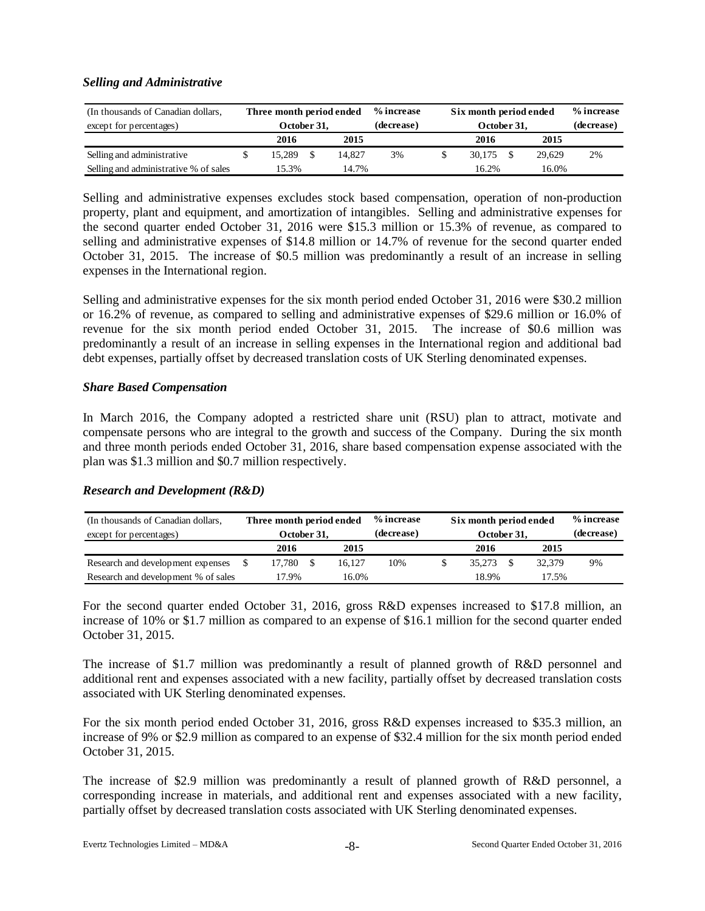### *Selling and Administrative*

| (In thousands of Canadian dollars,<br>except for percentages) | Three month period ended<br>October 31. |        | % increase<br>(decrease) | Six month period ended<br>October 31. |  |        | % increase<br>(decrease) |
|---------------------------------------------------------------|-----------------------------------------|--------|--------------------------|---------------------------------------|--|--------|--------------------------|
|                                                               | 2016                                    | 2015   |                          | 2016                                  |  | 2015   |                          |
| Selling and administrative                                    | 15.289                                  | 14.827 | 3%                       | 30.175                                |  | 29.629 | 2%                       |
| Selling and administrative % of sales                         | 15.3%                                   | 14.7%  |                          | 16.2%                                 |  | 16.0%  |                          |

Selling and administrative expenses excludes stock based compensation, operation of non-production property, plant and equipment, and amortization of intangibles. Selling and administrative expenses for the second quarter ended October 31, 2016 were \$15.3 million or 15.3% of revenue, as compared to selling and administrative expenses of \$14.8 million or 14.7% of revenue for the second quarter ended October 31, 2015. The increase of \$0.5 million was predominantly a result of an increase in selling expenses in the International region.

Selling and administrative expenses for the six month period ended October 31, 2016 were \$30.2 million or 16.2% of revenue, as compared to selling and administrative expenses of \$29.6 million or 16.0% of revenue for the six month period ended October 31, 2015. The increase of \$0.6 million was predominantly a result of an increase in selling expenses in the International region and additional bad debt expenses, partially offset by decreased translation costs of UK Sterling denominated expenses.

### *Share Based Compensation*

In March 2016, the Company adopted a restricted share unit (RSU) plan to attract, motivate and compensate persons who are integral to the growth and success of the Company. During the six month and three month periods ended October 31, 2016, share based compensation expense associated with the plan was \$1.3 million and \$0.7 million respectively.

### *Research and Development (R&D)*

| (In thousands of Canadian dollars,  | Three month period ended |        | % increase |             | Six month period ended |        |            |
|-------------------------------------|--------------------------|--------|------------|-------------|------------------------|--------|------------|
| except for percentages)             | October 31.              |        | (decrease) | October 31. |                        |        | (decrease) |
|                                     | 2016                     | 2015   |            | 2016        |                        | 2015   |            |
| Research and development expenses   | 17.780                   | 16.127 | 10%        | 35.273      |                        | 32,379 | 9%         |
| Research and development % of sales | 17.9%                    | 16.0%  |            | 18.9%       |                        | 17.5%  |            |

For the second quarter ended October 31, 2016, gross R&D expenses increased to \$17.8 million, an increase of 10% or \$1.7 million as compared to an expense of \$16.1 million for the second quarter ended October 31, 2015.

The increase of \$1.7 million was predominantly a result of planned growth of R&D personnel and additional rent and expenses associated with a new facility, partially offset by decreased translation costs associated with UK Sterling denominated expenses.

For the six month period ended October 31, 2016, gross R&D expenses increased to \$35.3 million, an increase of 9% or \$2.9 million as compared to an expense of \$32.4 million for the six month period ended October 31, 2015.

The increase of \$2.9 million was predominantly a result of planned growth of R&D personnel, a corresponding increase in materials, and additional rent and expenses associated with a new facility, partially offset by decreased translation costs associated with UK Sterling denominated expenses.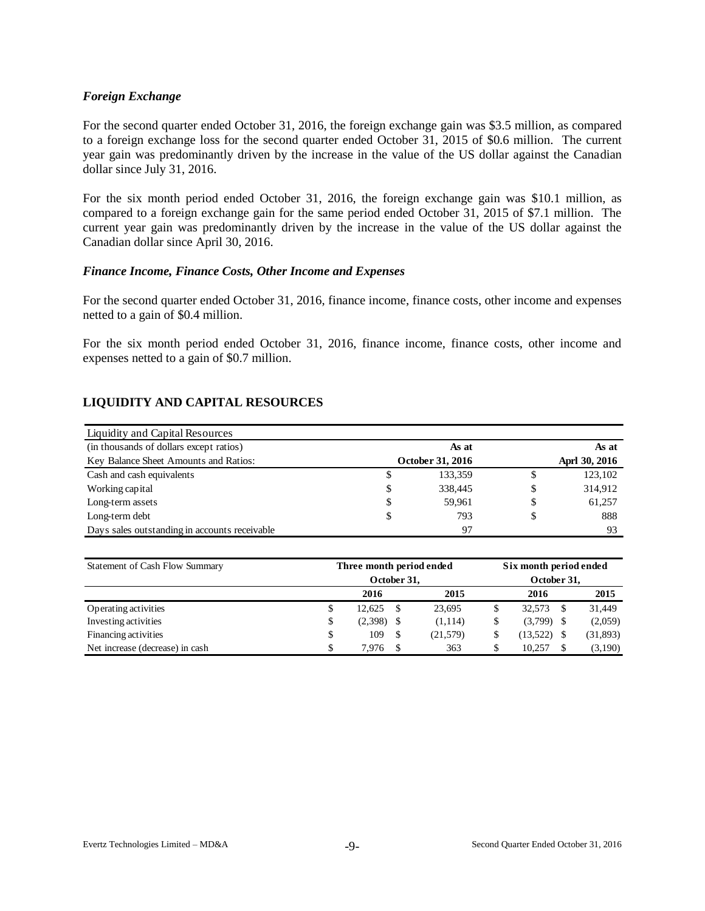### *Foreign Exchange*

For the second quarter ended October 31, 2016, the foreign exchange gain was \$3.5 million, as compared to a foreign exchange loss for the second quarter ended October 31, 2015 of \$0.6 million. The current year gain was predominantly driven by the increase in the value of the US dollar against the Canadian dollar since July 31, 2016.

For the six month period ended October 31, 2016, the foreign exchange gain was \$10.1 million, as compared to a foreign exchange gain for the same period ended October 31, 2015 of \$7.1 million. The current year gain was predominantly driven by the increase in the value of the US dollar against the Canadian dollar since April 30, 2016.

#### *Finance Income, Finance Costs, Other Income and Expenses*

For the second quarter ended October 31, 2016, finance income, finance costs, other income and expenses netted to a gain of \$0.4 million.

For the six month period ended October 31, 2016, finance income, finance costs, other income and expenses netted to a gain of \$0.7 million.

## **LIQUIDITY AND CAPITAL RESOURCES**

| Liquidity and Capital Resources               |    |                  |       |               |  |
|-----------------------------------------------|----|------------------|-------|---------------|--|
| (in thousands of dollars except ratios)       |    | As at            | As at |               |  |
| Key Balance Sheet Amounts and Ratios:         |    | October 31, 2016 |       | Aprl 30, 2016 |  |
| Cash and cash equivalents                     | P  | 133,359          | S     | 123,102       |  |
| Working capital                               | \$ | 338,445          | S     | 314,912       |  |
| Long-term assets                              | \$ | 59,961           | S     | 61,257        |  |
| Long-term debt                                | \$ | 793              | S     | 888           |  |
| Days sales outstanding in accounts receivable |    | -97              |       | 93            |  |

| Statement of Cash Flow Summary  | Three month period ended | Six month period ended<br>October 31, |      |           |          |      |           |
|---------------------------------|--------------------------|---------------------------------------|------|-----------|----------|------|-----------|
|                                 |                          | 2016                                  |      | 2015      | 2016     |      | 2015      |
| Operating activities            | S                        | 12.625                                | -S   | 23,695    | 32.573   | -S   | 31,449    |
| Investing activities            | S                        | (2,398)                               | - \$ | (1,114)   | (3,799)  | - \$ | (2,059)   |
| Financing activities            | S                        | 109                                   | -S   | (21, 579) | (13,522) | - \$ | (31, 893) |
| Net increase (decrease) in cash | \$                       | 7.976                                 |      | 363       | 10.257   |      | (3,190)   |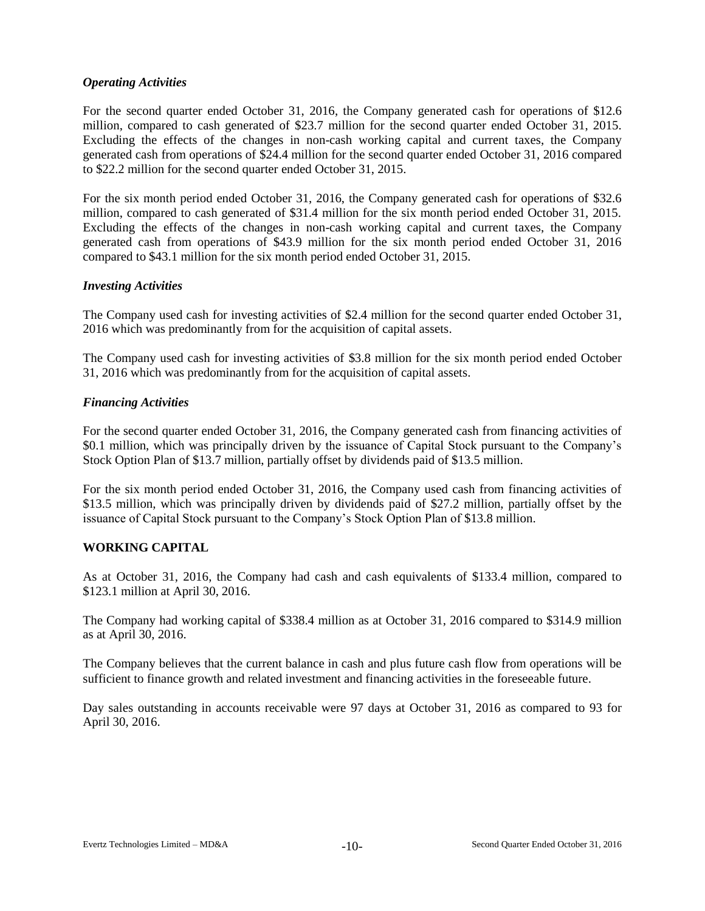### *Operating Activities*

For the second quarter ended October 31, 2016, the Company generated cash for operations of \$12.6 million, compared to cash generated of \$23.7 million for the second quarter ended October 31, 2015. Excluding the effects of the changes in non-cash working capital and current taxes, the Company generated cash from operations of \$24.4 million for the second quarter ended October 31, 2016 compared to \$22.2 million for the second quarter ended October 31, 2015.

For the six month period ended October 31, 2016, the Company generated cash for operations of \$32.6 million, compared to cash generated of \$31.4 million for the six month period ended October 31, 2015. Excluding the effects of the changes in non-cash working capital and current taxes, the Company generated cash from operations of \$43.9 million for the six month period ended October 31, 2016 compared to \$43.1 million for the six month period ended October 31, 2015.

### *Investing Activities*

The Company used cash for investing activities of \$2.4 million for the second quarter ended October 31, 2016 which was predominantly from for the acquisition of capital assets.

The Company used cash for investing activities of \$3.8 million for the six month period ended October 31, 2016 which was predominantly from for the acquisition of capital assets.

### *Financing Activities*

For the second quarter ended October 31, 2016, the Company generated cash from financing activities of \$0.1 million, which was principally driven by the issuance of Capital Stock pursuant to the Company's Stock Option Plan of \$13.7 million, partially offset by dividends paid of \$13.5 million.

For the six month period ended October 31, 2016, the Company used cash from financing activities of \$13.5 million, which was principally driven by dividends paid of \$27.2 million, partially offset by the issuance of Capital Stock pursuant to the Company's Stock Option Plan of \$13.8 million.

# **WORKING CAPITAL**

As at October 31, 2016, the Company had cash and cash equivalents of \$133.4 million, compared to \$123.1 million at April 30, 2016.

The Company had working capital of \$338.4 million as at October 31, 2016 compared to \$314.9 million as at April 30, 2016.

The Company believes that the current balance in cash and plus future cash flow from operations will be sufficient to finance growth and related investment and financing activities in the foreseeable future.

Day sales outstanding in accounts receivable were 97 days at October 31, 2016 as compared to 93 for April 30, 2016.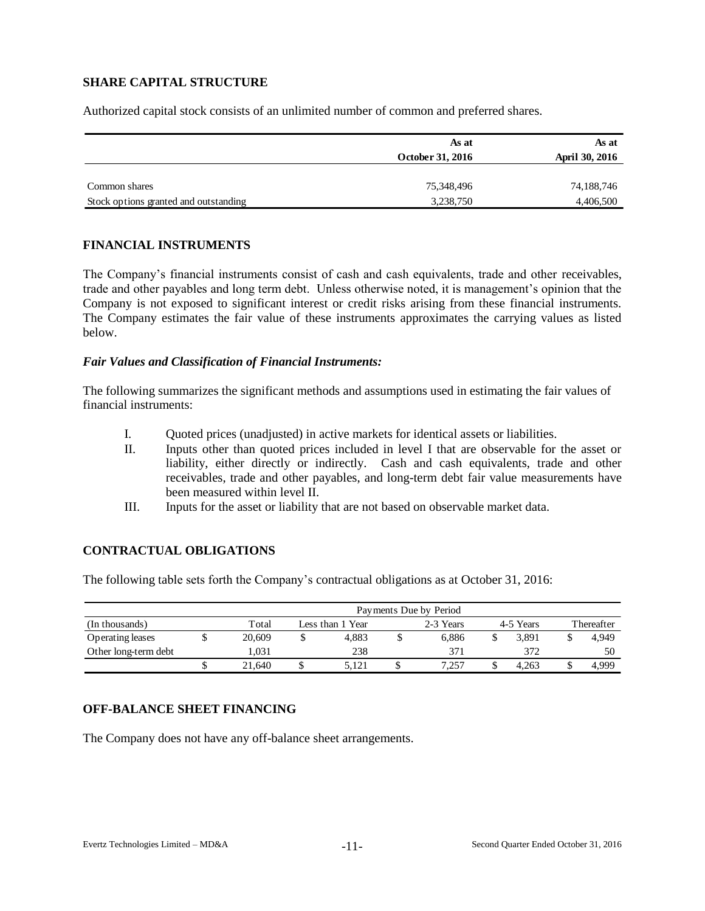# **SHARE CAPITAL STRUCTURE**

Authorized capital stock consists of an unlimited number of common and preferred shares.

|                                       | As at            | As at          |
|---------------------------------------|------------------|----------------|
|                                       | October 31, 2016 | April 30, 2016 |
|                                       |                  |                |
| Common shares                         | 75,348,496       | 74,188,746     |
| Stock options granted and outstanding | 3,238,750        | 4,406,500      |

### **FINANCIAL INSTRUMENTS**

The Company's financial instruments consist of cash and cash equivalents, trade and other receivables, trade and other payables and long term debt. Unless otherwise noted, it is management's opinion that the Company is not exposed to significant interest or credit risks arising from these financial instruments. The Company estimates the fair value of these instruments approximates the carrying values as listed below.

### *Fair Values and Classification of Financial Instruments:*

The following summarizes the significant methods and assumptions used in estimating the fair values of financial instruments:

- I. Quoted prices (unadjusted) in active markets for identical assets or liabilities.
- II. Inputs other than quoted prices included in level I that are observable for the asset or liability, either directly or indirectly. Cash and cash equivalents, trade and other receivables, trade and other payables, and long-term debt fair value measurements have been measured within level II.
- III. Inputs for the asset or liability that are not based on observable market data.

### **CONTRACTUAL OBLIGATIONS**

The following table sets forth the Company's contractual obligations as at October 31, 2016:

|                      |  |        | Payments Due by Period |       |           |           |  |            |  |       |  |  |  |
|----------------------|--|--------|------------------------|-------|-----------|-----------|--|------------|--|-------|--|--|--|
| (In thousands)       |  | Total  | Less than 1 Year       |       | 2-3 Years | 4-5 Years |  | Thereafter |  |       |  |  |  |
| Operating leases     |  | 20,609 |                        | 4.883 |           | 6.886     |  | 3.891      |  | 4.949 |  |  |  |
| Other long-term debt |  | 1.031  |                        | 238   |           | 37        |  | 372        |  | 50    |  |  |  |
|                      |  | 21.640 |                        | 5.121 |           | 7.257     |  | 4.263      |  | 4.999 |  |  |  |

### **OFF-BALANCE SHEET FINANCING**

The Company does not have any off-balance sheet arrangements.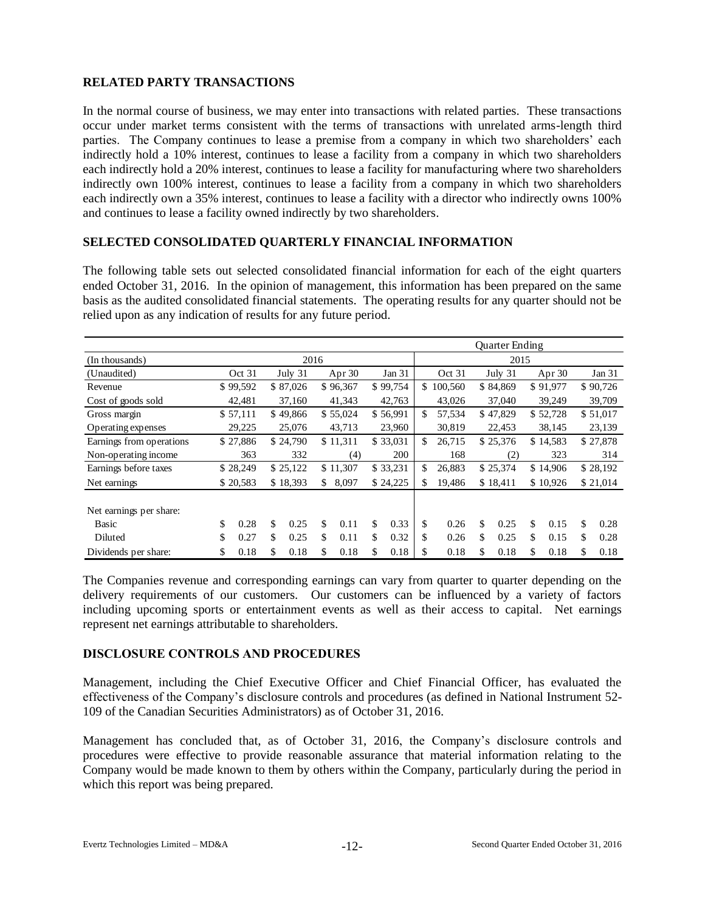# **RELATED PARTY TRANSACTIONS**

In the normal course of business, we may enter into transactions with related parties. These transactions occur under market terms consistent with the terms of transactions with unrelated arms-length third parties. The Company continues to lease a premise from a company in which two shareholders' each indirectly hold a 10% interest, continues to lease a facility from a company in which two shareholders each indirectly hold a 20% interest, continues to lease a facility for manufacturing where two shareholders indirectly own 100% interest, continues to lease a facility from a company in which two shareholders each indirectly own a 35% interest, continues to lease a facility with a director who indirectly owns 100% and continues to lease a facility owned indirectly by two shareholders.

### **SELECTED CONSOLIDATED QUARTERLY FINANCIAL INFORMATION**

The following table sets out selected consolidated financial information for each of the eight quarters ended October 31, 2016. In the opinion of management, this information has been prepared on the same basis as the audited consolidated financial statements. The operating results for any quarter should not be relied upon as any indication of results for any future period.

|                          |          |        |          |         |             |        |          |        | Quarter Ending |        |          |           |          |          |          |          |  |
|--------------------------|----------|--------|----------|---------|-------------|--------|----------|--------|----------------|--------|----------|-----------|----------|----------|----------|----------|--|
| (In thousands)           |          | 2016   |          |         |             |        |          |        | 2015           |        |          |           |          |          |          |          |  |
| (Unaudited)              |          | Oct 31 |          | July 31 |             | Apr 30 |          | Jan 31 |                | Oct 31 |          | July $31$ |          | Apr $30$ |          | Jan $31$ |  |
| Revenue                  | \$99,592 |        | \$87,026 |         | \$96,367    |        | \$99,754 |        | 100,560<br>\$. |        | \$84,869 |           | \$91,977 |          | \$90,726 |          |  |
| Cost of goods sold       | 42,481   |        | 37,160   |         | 41,343      |        | 42,763   |        | 43,026         |        | 37,040   |           | 39,249   |          | 39,709   |          |  |
| Gross margin             | \$57,111 |        | \$49,866 |         | \$55,024    |        | \$56,991 |        | \$.            | 57,534 |          | \$47,829  |          | \$52,728 |          | \$51,017 |  |
| Operating expenses       | 29,225   |        | 25,076   |         | 43,713      |        |          | 23,960 |                | 30,819 | 22,453   |           | 38,145   |          | 23,139   |          |  |
| Earnings from operations | \$27,886 |        | \$24,790 |         | \$11,311    |        | \$33,031 |        | \$<br>26,715   |        | \$25,376 |           | \$14,583 |          | \$27,878 |          |  |
| Non-operating income     | 363      |        | 332      |         | (4)         |        | 200      |        |                | 168    |          | (2)       |          | 323      |          | 314      |  |
| Earnings before taxes    | \$28,249 |        | \$25,122 |         | \$11,307    |        | \$33,231 |        | \$             | 26,883 | \$25,374 |           | \$14,906 |          | \$28,192 |          |  |
| Net earnings             | \$20,583 |        | \$18,393 |         | 8,097<br>\$ |        | \$24,225 |        | \$             | 19,486 | \$18,411 |           | \$10,926 |          | \$21,014 |          |  |
| Net earnings per share:  |          |        |          |         |             |        |          |        |                |        |          |           |          |          |          |          |  |
| Basic                    | \$       | 0.28   | \$       | 0.25    | \$          | 0.11   | \$       | 0.33   | \$             | 0.26   | \$       | 0.25      | \$       | 0.15     | \$       | 0.28     |  |
| Diluted                  | \$       | 0.27   | \$       | 0.25    | \$          | 0.11   | \$       | 0.32   | \$             | 0.26   | \$       | 0.25      | \$       | 0.15     | \$       | 0.28     |  |
| Dividends per share:     | \$       | 0.18   | \$       | 0.18    | \$          | 0.18   | \$       | 0.18   | \$             | 0.18   | \$       | 0.18      | \$       | 0.18     | \$       | 0.18     |  |

The Companies revenue and corresponding earnings can vary from quarter to quarter depending on the delivery requirements of our customers. Our customers can be influenced by a variety of factors including upcoming sports or entertainment events as well as their access to capital. Net earnings represent net earnings attributable to shareholders.

#### **DISCLOSURE CONTROLS AND PROCEDURES**

Management, including the Chief Executive Officer and Chief Financial Officer, has evaluated the effectiveness of the Company's disclosure controls and procedures (as defined in National Instrument 52- 109 of the Canadian Securities Administrators) as of October 31, 2016.

Management has concluded that, as of October 31, 2016, the Company's disclosure controls and procedures were effective to provide reasonable assurance that material information relating to the Company would be made known to them by others within the Company, particularly during the period in which this report was being prepared.